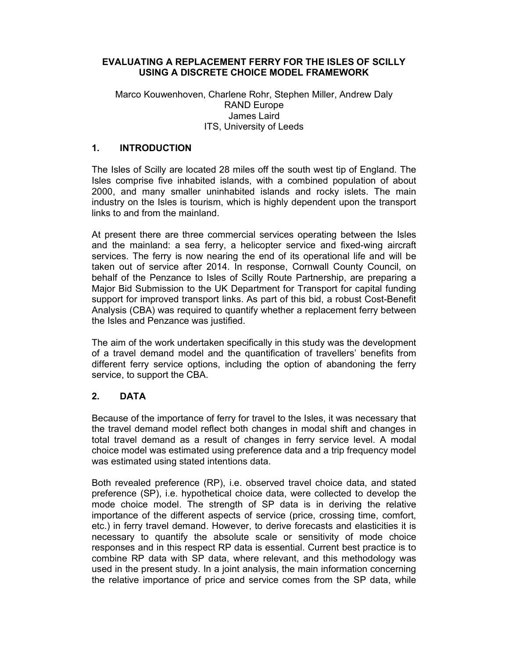### EVALUATING A REPLACEMENT FERRY FOR THE ISLES OF SCILLY USING A DISCRETE CHOICE MODEL FRAMEWORK

### Marco Kouwenhoven, Charlene Rohr, Stephen Miller, Andrew Daly RAND Europe James Laird ITS, University of Leeds

### 1. INTRODUCTION

The Isles of Scilly are located 28 miles off the south west tip of England. The Isles comprise five inhabited islands, with a combined population of about 2000, and many smaller uninhabited islands and rocky islets. The main industry on the Isles is tourism, which is highly dependent upon the transport links to and from the mainland.

At present there are three commercial services operating between the Isles and the mainland: a sea ferry, a helicopter service and fixed-wing aircraft services. The ferry is now nearing the end of its operational life and will be taken out of service after 2014. In response, Cornwall County Council, on behalf of the Penzance to Isles of Scilly Route Partnership, are preparing a Major Bid Submission to the UK Department for Transport for capital funding support for improved transport links. As part of this bid, a robust Cost-Benefit Analysis (CBA) was required to quantify whether a replacement ferry between the Isles and Penzance was justified.

The aim of the work undertaken specifically in this study was the development of a travel demand model and the quantification of travellers' benefits from different ferry service options, including the option of abandoning the ferry service, to support the CBA.

# 2. DATA

Because of the importance of ferry for travel to the Isles, it was necessary that the travel demand model reflect both changes in modal shift and changes in total travel demand as a result of changes in ferry service level. A modal choice model was estimated using preference data and a trip frequency model was estimated using stated intentions data.

Both revealed preference (RP), i.e. observed travel choice data, and stated preference (SP), i.e. hypothetical choice data, were collected to develop the mode choice model. The strength of SP data is in deriving the relative importance of the different aspects of service (price, crossing time, comfort, etc.) in ferry travel demand. However, to derive forecasts and elasticities it is necessary to quantify the absolute scale or sensitivity of mode choice responses and in this respect RP data is essential. Current best practice is to combine RP data with SP data, where relevant, and this methodology was used in the present study. In a joint analysis, the main information concerning the relative importance of price and service comes from the SP data, while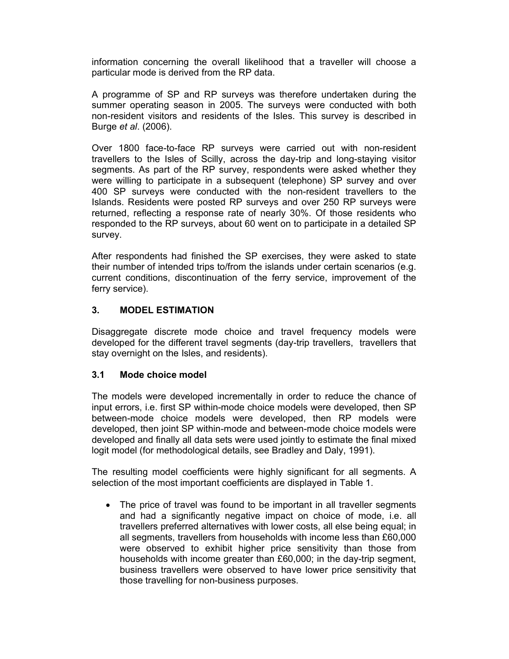information concerning the overall likelihood that a traveller will choose a particular mode is derived from the RP data.

A programme of SP and RP surveys was therefore undertaken during the summer operating season in 2005. The surveys were conducted with both non-resident visitors and residents of the Isles. This survey is described in Burge et al. (2006).

Over 1800 face-to-face RP surveys were carried out with non-resident travellers to the Isles of Scilly, across the day-trip and long-staying visitor segments. As part of the RP survey, respondents were asked whether they were willing to participate in a subsequent (telephone) SP survey and over 400 SP surveys were conducted with the non-resident travellers to the Islands. Residents were posted RP surveys and over 250 RP surveys were returned, reflecting a response rate of nearly 30%. Of those residents who responded to the RP surveys, about 60 went on to participate in a detailed SP survey.

After respondents had finished the SP exercises, they were asked to state their number of intended trips to/from the islands under certain scenarios (e.g. current conditions, discontinuation of the ferry service, improvement of the ferry service).

### 3. MODEL ESTIMATION

Disaggregate discrete mode choice and travel frequency models were developed for the different travel segments (day-trip travellers, travellers that stay overnight on the Isles, and residents).

### 3.1 Mode choice model

The models were developed incrementally in order to reduce the chance of input errors, i.e. first SP within-mode choice models were developed, then SP between-mode choice models were developed, then RP models were developed, then joint SP within-mode and between-mode choice models were developed and finally all data sets were used jointly to estimate the final mixed logit model (for methodological details, see Bradley and Daly, 1991).

The resulting model coefficients were highly significant for all segments. A selection of the most important coefficients are displayed in Table 1.

• The price of travel was found to be important in all traveller segments and had a significantly negative impact on choice of mode, i.e. all travellers preferred alternatives with lower costs, all else being equal; in all segments, travellers from households with income less than £60,000 were observed to exhibit higher price sensitivity than those from households with income greater than £60,000; in the day-trip segment, business travellers were observed to have lower price sensitivity that those travelling for non-business purposes.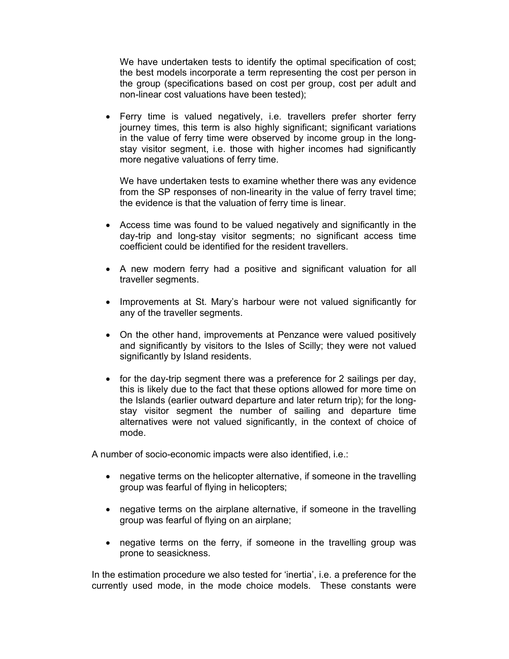We have undertaken tests to identify the optimal specification of cost; the best models incorporate a term representing the cost per person in the group (specifications based on cost per group, cost per adult and non-linear cost valuations have been tested);

 Ferry time is valued negatively, i.e. travellers prefer shorter ferry journey times, this term is also highly significant; significant variations in the value of ferry time were observed by income group in the longstay visitor segment, i.e. those with higher incomes had significantly more negative valuations of ferry time.

We have undertaken tests to examine whether there was any evidence from the SP responses of non-linearity in the value of ferry travel time; the evidence is that the valuation of ferry time is linear.

- Access time was found to be valued negatively and significantly in the day-trip and long-stay visitor segments; no significant access time coefficient could be identified for the resident travellers.
- A new modern ferry had a positive and significant valuation for all traveller segments.
- Improvements at St. Mary's harbour were not valued significantly for any of the traveller segments.
- On the other hand, improvements at Penzance were valued positively and significantly by visitors to the Isles of Scilly; they were not valued significantly by Island residents.
- for the day-trip segment there was a preference for 2 sailings per day, this is likely due to the fact that these options allowed for more time on the Islands (earlier outward departure and later return trip); for the longstay visitor segment the number of sailing and departure time alternatives were not valued significantly, in the context of choice of mode.

A number of socio-economic impacts were also identified, i.e.:

- negative terms on the helicopter alternative, if someone in the travelling group was fearful of flying in helicopters;
- negative terms on the airplane alternative, if someone in the travelling group was fearful of flying on an airplane;
- negative terms on the ferry, if someone in the travelling group was prone to seasickness.

In the estimation procedure we also tested for 'inertia', i.e. a preference for the currently used mode, in the mode choice models. These constants were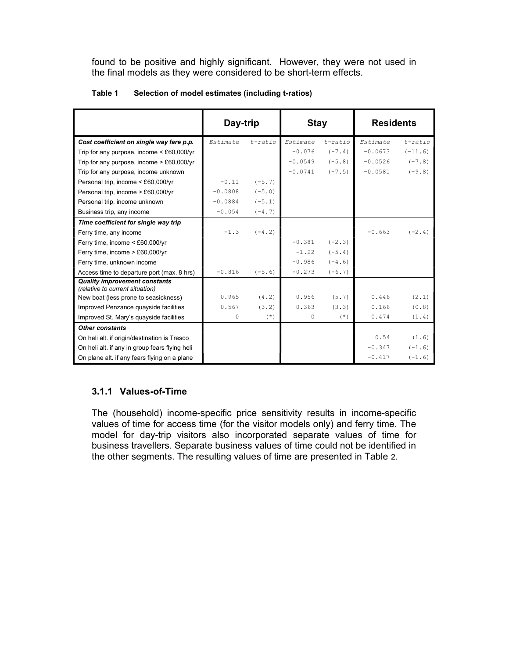found to be positive and highly significant. However, they were not used in the final models as they were considered to be short-term effects.

|                                                                         | Day-trip  |            | <b>Stay</b> |            | <b>Residents</b> |            |
|-------------------------------------------------------------------------|-----------|------------|-------------|------------|------------------|------------|
| Cost coefficient on single way fare p.p.                                | Estimate  | $t$ -ratio | Estimate    | $t$ -ratio | Estimate         | $t$ -ratio |
| Trip for any purpose, income $\leq$ £60,000/yr                          |           |            | $-0.076$    | $(-7.4)$   | $-0.0673$        | $(-11.6)$  |
| Trip for any purpose, income $> \text{\pounds}60,000/\text{yr}$         |           |            | $-0.0549$   | $(-5.8)$   | $-0.0526$        | $(-7.8)$   |
| Trip for any purpose, income unknown                                    |           |            | $-0.0741$   | $(-7.5)$   | $-0.0581$        | $(-9.8)$   |
| Personal trip, income < £60,000/yr                                      | $-0.11$   | $(-5.7)$   |             |            |                  |            |
| Personal trip, income > £60,000/yr                                      | $-0.0808$ | $(-5.0)$   |             |            |                  |            |
| Personal trip, income unknown                                           | $-0.0884$ | $(-5.1)$   |             |            |                  |            |
| Business trip, any income                                               | $-0.054$  | $(-4.7)$   |             |            |                  |            |
| Time coefficient for single way trip                                    |           |            |             |            |                  |            |
| Ferry time, any income                                                  | $-1.3$    | $(-4.2)$   |             |            | $-0.663$         | $(-2, 4)$  |
| Ferry time, income < £60,000/yr                                         |           |            | $-0.381$    | $(-2.3)$   |                  |            |
| Ferry time, income > £60,000/yr                                         |           |            | $-1.22$     | $(-5.4)$   |                  |            |
| Ferry time, unknown income                                              |           |            | $-0.986$    | $(-4.6)$   |                  |            |
| Access time to departure port (max. 8 hrs)                              | $-0.816$  | $(-5.6)$   | $-0.273$    | $(-6.7)$   |                  |            |
| <b>Quality improvement constants</b><br>(relative to current situation) |           |            |             |            |                  |            |
| New boat (less prone to seasickness)                                    | 0.965     | (4.2)      | 0.956       | (5.7)      | 0.446            | (2.1)      |
| Improved Penzance quayside facilities                                   | 0.567     | (3.2)      | 0.363       | (3.3)      | 0.166            | (0.8)      |
| Improved St. Mary's quayside facilities                                 | $\Omega$  | $(* )$     | $\Omega$    | $(* )$     | 0.474            | (1.4)      |
| <b>Other constants</b>                                                  |           |            |             |            |                  |            |
| On heli alt. if origin/destination is Tresco                            |           |            |             |            | 0.54             | (1.6)      |
| On heli alt. if any in group fears flying heli                          |           |            |             |            | $-0.347$         | $(-1.6)$   |
| On plane alt. if any fears flying on a plane                            |           |            |             |            | $-0.417$         | $(-1.6)$   |

#### Table 1 Selection of model estimates (including t-ratios)

# 3.1.1 Values-of-Time

The (household) income-specific price sensitivity results in income-specific values of time for access time (for the visitor models only) and ferry time. The model for day-trip visitors also incorporated separate values of time for business travellers. Separate business values of time could not be identified in the other segments. The resulting values of time are presented in Table 2.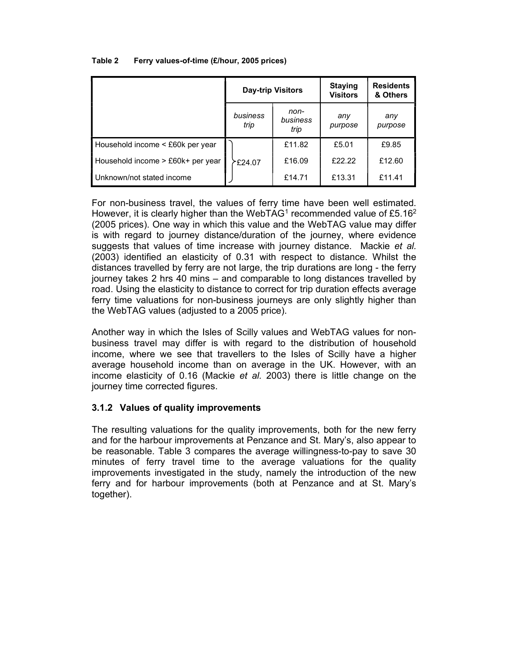#### Table 2 Ferry values-of-time (£/hour, 2005 prices)

|                                   | <b>Day-trip Visitors</b> |                          | <b>Staying</b><br><b>Visitors</b> | <b>Residents</b><br>& Others |
|-----------------------------------|--------------------------|--------------------------|-----------------------------------|------------------------------|
|                                   | business<br>trip         | non-<br>business<br>trip | any<br>purpose                    | any<br>purpose               |
| Household income < £60k per year  |                          | £11.82                   | £5.01                             | £9.85                        |
| Household income > £60k+ per year | 7£24.07 ∕                | £16.09                   | £22.22                            | £12.60                       |
| Unknown/not stated income         |                          | £14.71                   | £13.31                            | £11.41                       |

For non-business travel, the values of ferry time have been well estimated. However, it is clearly higher than the WebTAG<sup>1</sup> recommended value of £5.16<sup>2</sup> (2005 prices). One way in which this value and the WebTAG value may differ is with regard to journey distance/duration of the journey, where evidence suggests that values of time increase with journey distance. Mackie et al. (2003) identified an elasticity of 0.31 with respect to distance. Whilst the distances travelled by ferry are not large, the trip durations are long - the ferry journey takes 2 hrs 40 mins – and comparable to long distances travelled by road. Using the elasticity to distance to correct for trip duration effects average ferry time valuations for non-business journeys are only slightly higher than the WebTAG values (adjusted to a 2005 price).

Another way in which the Isles of Scilly values and WebTAG values for nonbusiness travel may differ is with regard to the distribution of household income, where we see that travellers to the Isles of Scilly have a higher average household income than on average in the UK. However, with an income elasticity of 0.16 (Mackie et al. 2003) there is little change on the journey time corrected figures.

### 3.1.2 Values of quality improvements

The resulting valuations for the quality improvements, both for the new ferry and for the harbour improvements at Penzance and St. Mary's, also appear to be reasonable. Table 3 compares the average willingness-to-pay to save 30 minutes of ferry travel time to the average valuations for the quality improvements investigated in the study, namely the introduction of the new ferry and for harbour improvements (both at Penzance and at St. Mary's together).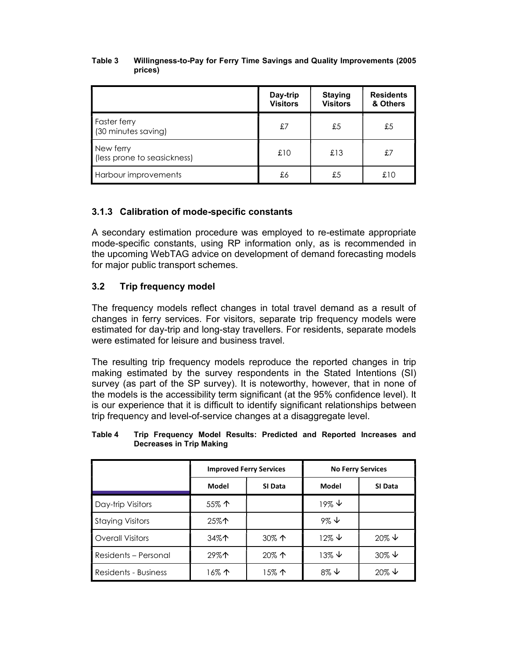#### Table 3 Willingness-to-Pay for Ferry Time Savings and Quality Improvements (2005 prices)

|                                            | Day-trip<br><b>Visitors</b> | <b>Staying</b><br><b>Visitors</b> | <b>Residents</b><br>& Others |
|--------------------------------------------|-----------------------------|-----------------------------------|------------------------------|
| <b>Faster ferry</b><br>(30 minutes saving) | £7                          | £5                                | £5                           |
| New ferry<br>(less prone to seasickness)   | £10                         | £13                               | £7                           |
| Harbour improvements                       | £6                          | £5                                | £10                          |

# 3.1.3 Calibration of mode-specific constants

A secondary estimation procedure was employed to re-estimate appropriate mode-specific constants, using RP information only, as is recommended in the upcoming WebTAG advice on development of demand forecasting models for major public transport schemes.

# 3.2 Trip frequency model

The frequency models reflect changes in total travel demand as a result of changes in ferry services. For visitors, separate trip frequency models were estimated for day-trip and long-stay travellers. For residents, separate models were estimated for leisure and business travel.

The resulting trip frequency models reproduce the reported changes in trip making estimated by the survey respondents in the Stated Intentions (SI) survey (as part of the SP survey). It is noteworthy, however, that in none of the models is the accessibility term significant (at the 95% confidence level). It is our experience that it is difficult to identify significant relationships between trip frequency and level-of-service changes at a disaggregate level.

| Table 4 | Trip Frequency Model Results: Predicted and Reported Increases and |  |  |  |  |
|---------|--------------------------------------------------------------------|--|--|--|--|
|         | Decreases in Trip Making                                           |  |  |  |  |

|                         |                | <b>Improved Ferry Services</b> | <b>No Ferry Services</b> |                     |  |
|-------------------------|----------------|--------------------------------|--------------------------|---------------------|--|
|                         | Model          | SI Data                        | <b>Model</b>             | SI Data             |  |
| Day-trip Visitors       | $55\%$ 个       |                                | $19\% \t\text{V}$        |                     |  |
| <b>Staying Visitors</b> | 25% $\uparrow$ |                                | $9\% \downarrow$         |                     |  |
| <b>Overall Visitors</b> | 34%个           | 30% 个                          | $12\% \t\downarrow$      | $20\% \t\downarrow$ |  |
| Residents - Personal    | $29\%$         | $20\%$ 个                       | $13\% \t\downarrow$      | $30\% \t\downarrow$ |  |
| Residents - Business    | 16% ተ          | 15% ተ                          | $8\% \t\downarrow$       | $20\% \t\downarrow$ |  |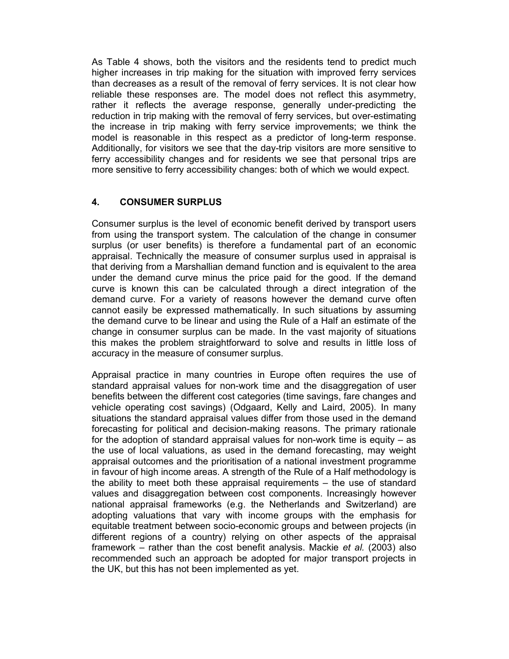As Table 4 shows, both the visitors and the residents tend to predict much higher increases in trip making for the situation with improved ferry services than decreases as a result of the removal of ferry services. It is not clear how reliable these responses are. The model does not reflect this asymmetry, rather it reflects the average response, generally under-predicting the reduction in trip making with the removal of ferry services, but over-estimating the increase in trip making with ferry service improvements; we think the model is reasonable in this respect as a predictor of long-term response. Additionally, for visitors we see that the day-trip visitors are more sensitive to ferry accessibility changes and for residents we see that personal trips are more sensitive to ferry accessibility changes: both of which we would expect.

### 4. CONSUMER SURPLUS

Consumer surplus is the level of economic benefit derived by transport users from using the transport system. The calculation of the change in consumer surplus (or user benefits) is therefore a fundamental part of an economic appraisal. Technically the measure of consumer surplus used in appraisal is that deriving from a Marshallian demand function and is equivalent to the area under the demand curve minus the price paid for the good. If the demand curve is known this can be calculated through a direct integration of the demand curve. For a variety of reasons however the demand curve often cannot easily be expressed mathematically. In such situations by assuming the demand curve to be linear and using the Rule of a Half an estimate of the change in consumer surplus can be made. In the vast majority of situations this makes the problem straightforward to solve and results in little loss of accuracy in the measure of consumer surplus.

Appraisal practice in many countries in Europe often requires the use of standard appraisal values for non-work time and the disaggregation of user benefits between the different cost categories (time savings, fare changes and vehicle operating cost savings) (Odgaard, Kelly and Laird, 2005). In many situations the standard appraisal values differ from those used in the demand forecasting for political and decision-making reasons. The primary rationale for the adoption of standard appraisal values for non-work time is equity – as the use of local valuations, as used in the demand forecasting, may weight appraisal outcomes and the prioritisation of a national investment programme in favour of high income areas. A strength of the Rule of a Half methodology is the ability to meet both these appraisal requirements – the use of standard values and disaggregation between cost components. Increasingly however national appraisal frameworks (e.g. the Netherlands and Switzerland) are adopting valuations that vary with income groups with the emphasis for equitable treatment between socio-economic groups and between projects (in different regions of a country) relying on other aspects of the appraisal framework – rather than the cost benefit analysis. Mackie et al. (2003) also recommended such an approach be adopted for major transport projects in the UK, but this has not been implemented as yet.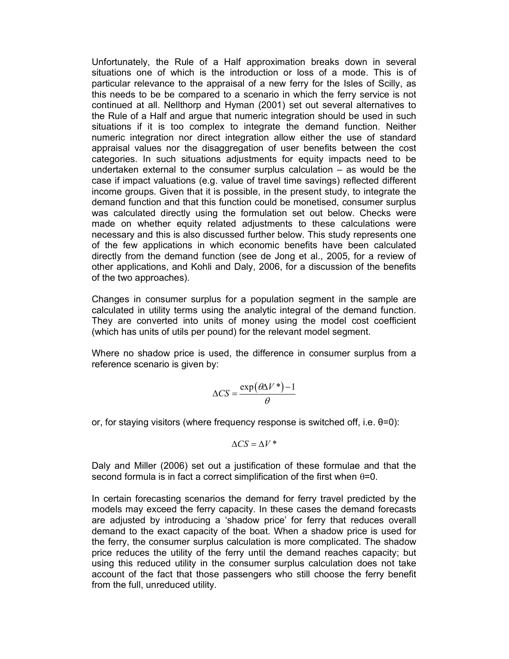Unfortunately, the Rule of a Half approximation breaks down in several situations one of which is the introduction or loss of a mode. This is of particular relevance to the appraisal of a new ferry for the Isles of Scilly, as this needs to be be compared to a scenario in which the ferry service is not continued at all. Nellthorp and Hyman (2001) set out several alternatives to the Rule of a Half and argue that numeric integration should be used in such situations if it is too complex to integrate the demand function. Neither numeric integration nor direct integration allow either the use of standard appraisal values nor the disaggregation of user benefits between the cost categories. In such situations adjustments for equity impacts need to be undertaken external to the consumer surplus calculation – as would be the case if impact valuations (e.g. value of travel time savings) reflected different income groups. Given that it is possible, in the present study, to integrate the demand function and that this function could be monetised, consumer surplus was calculated directly using the formulation set out below. Checks were made on whether equity related adjustments to these calculations were necessary and this is also discussed further below. This study represents one of the few applications in which economic benefits have been calculated directly from the demand function (see de Jong et al., 2005, for a review of other applications, and Kohli and Daly, 2006, for a discussion of the benefits of the two approaches).

Changes in consumer surplus for a population segment in the sample are calculated in utility terms using the analytic integral of the demand function. They are converted into units of money using the model cost coefficient (which has units of utils per pound) for the relevant model segment.

Where no shadow price is used, the difference in consumer surplus from a reference scenario is given by:

$$
\Delta CS = \frac{\exp(\theta \Delta V^*) - 1}{\theta}
$$

or, for staying visitors (where frequency response is switched off, i.e. θ=0):

$$
\Delta CS = \Delta V^*
$$

Daly and Miller (2006) set out a justification of these formulae and that the second formula is in fact a correct simplification of the first when  $\theta$ =0.

In certain forecasting scenarios the demand for ferry travel predicted by the models may exceed the ferry capacity. In these cases the demand forecasts are adjusted by introducing a 'shadow price' for ferry that reduces overall demand to the exact capacity of the boat. When a shadow price is used for the ferry, the consumer surplus calculation is more complicated. The shadow price reduces the utility of the ferry until the demand reaches capacity; but using this reduced utility in the consumer surplus calculation does not take account of the fact that those passengers who still choose the ferry benefit from the full, unreduced utility.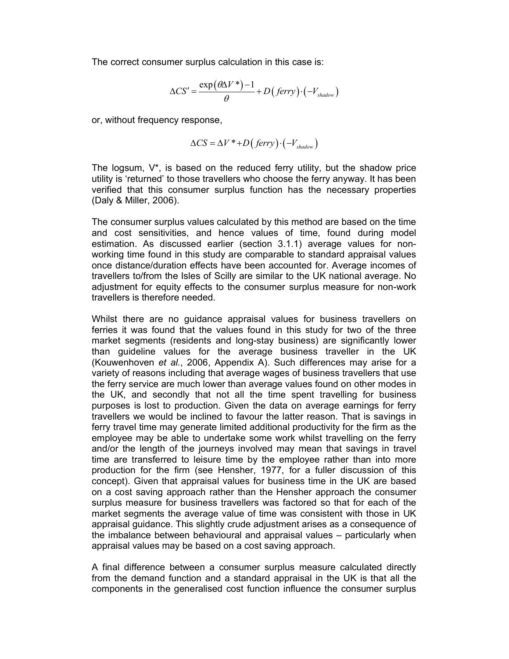The correct consumer surplus calculation in this case is:

mer surplus calculation in this case is:  
\n
$$
\Delta CS' = \frac{\exp(\theta \Delta V^*) - 1}{\theta} + D\left( \text{ferry} \right) \cdot \left( -V_{\text{shadow}} \right)
$$
\nacy response,

\n
$$
\Delta CS' = \Delta V^* + D\left( \text{ferry} \right) \cdot \left( -V_{\text{shadow}} \right)
$$

or, without frequency response,

$$
\Delta CS = \Delta V^* + D\big( ferry \big) \cdot \big( -V_{\text{shadow}} \big)
$$

The logsum,  $V^*$ , is based on the reduced ferry utility, but the shadow price utility is 'returned' to those travellers who choose the ferry anyway. It has been verified that this consumer surplus function has the necessary properties (Daly & Miller, 2006).

The consumer surplus values calculated by this method are based on the time and cost sensitivities, and hence values of time, found during model estimation. As discussed earlier (section 3.1.1) average values for nonworking time found in this study are comparable to standard appraisal values once distance/duration effects have been accounted for. Average incomes of travellers to/from the Isles of Scilly are similar to the UK national average. No adjustment for equity effects to the consumer surplus measure for non-work travellers is therefore needed.

Whilst there are no guidance appraisal values for business travellers on ferries it was found that the values found in this study for two of the three market segments (residents and long-stay business) are significantly lower than guideline values for the average business traveller in the UK (Kouwenhoven et al., 2006, Appendix A). Such differences may arise for a variety of reasons including that average wages of business travellers that use the ferry service are much lower than average values found on other modes in the UK, and secondly that not all the time spent travelling for business purposes is lost to production. Given the data on average earnings for ferry travellers we would be inclined to favour the latter reason. That is savings in ferry travel time may generate limited additional productivity for the firm as the employee may be able to undertake some work whilst travelling on the ferry and/or the length of the journeys involved may mean that savings in travel time are transferred to leisure time by the employee rather than into more production for the firm (see Hensher, 1977, for a fuller discussion of this concept). Given that appraisal values for business time in the UK are based on a cost saving approach rather than the Hensher approach the consumer surplus measure for business travellers was factored so that for each of the market segments the average value of time was consistent with those in UK appraisal guidance. This slightly crude adjustment arises as a consequence of the imbalance between behavioural and appraisal values – particularly when appraisal values may be based on a cost saving approach.

A final difference between a consumer surplus measure calculated directly from the demand function and a standard appraisal in the UK is that all the components in the generalised cost function influence the consumer surplus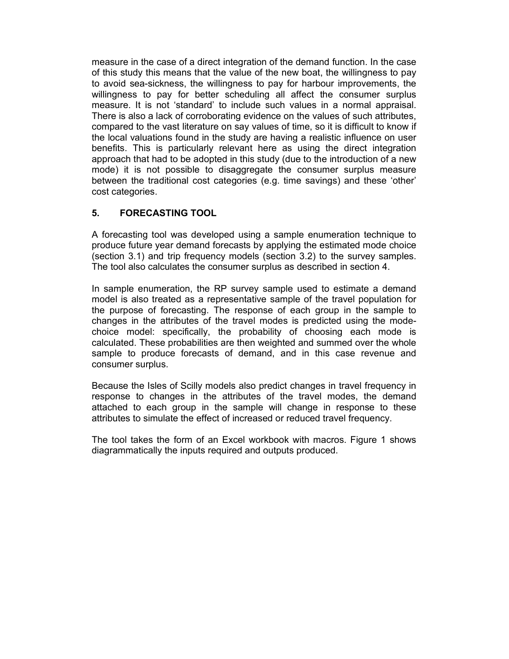measure in the case of a direct integration of the demand function. In the case of this study this means that the value of the new boat, the willingness to pay to avoid sea-sickness, the willingness to pay for harbour improvements, the willingness to pay for better scheduling all affect the consumer surplus measure. It is not 'standard' to include such values in a normal appraisal. There is also a lack of corroborating evidence on the values of such attributes, compared to the vast literature on say values of time, so it is difficult to know if the local valuations found in the study are having a realistic influence on user benefits. This is particularly relevant here as using the direct integration approach that had to be adopted in this study (due to the introduction of a new mode) it is not possible to disaggregate the consumer surplus measure between the traditional cost categories (e.g. time savings) and these 'other' cost categories.

# 5. FORECASTING TOOL

A forecasting tool was developed using a sample enumeration technique to produce future year demand forecasts by applying the estimated mode choice (section 3.1) and trip frequency models (section 3.2) to the survey samples. The tool also calculates the consumer surplus as described in section 4.

In sample enumeration, the RP survey sample used to estimate a demand model is also treated as a representative sample of the travel population for the purpose of forecasting. The response of each group in the sample to changes in the attributes of the travel modes is predicted using the modechoice model: specifically, the probability of choosing each mode is calculated. These probabilities are then weighted and summed over the whole sample to produce forecasts of demand, and in this case revenue and consumer surplus.

Because the Isles of Scilly models also predict changes in travel frequency in response to changes in the attributes of the travel modes, the demand attached to each group in the sample will change in response to these attributes to simulate the effect of increased or reduced travel frequency.

The tool takes the form of an Excel workbook with macros. Figure 1 shows diagrammatically the inputs required and outputs produced.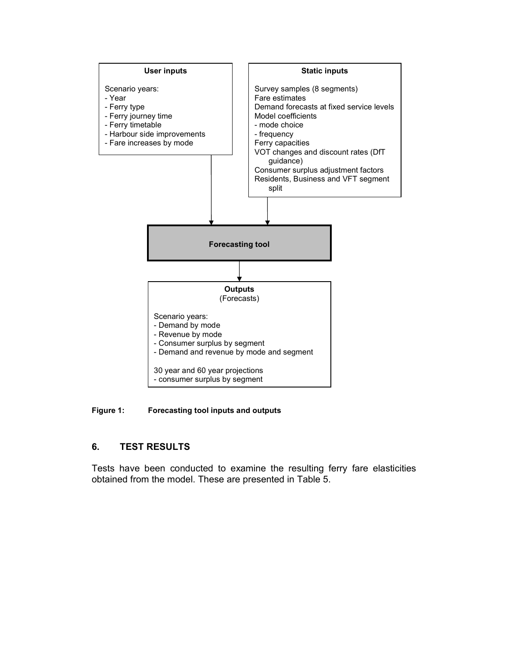

Figure 1: Forecasting tool inputs and outputs

# 6. TEST RESULTS

Tests have been conducted to examine the resulting ferry fare elasticities obtained from the model. These are presented in Table 5.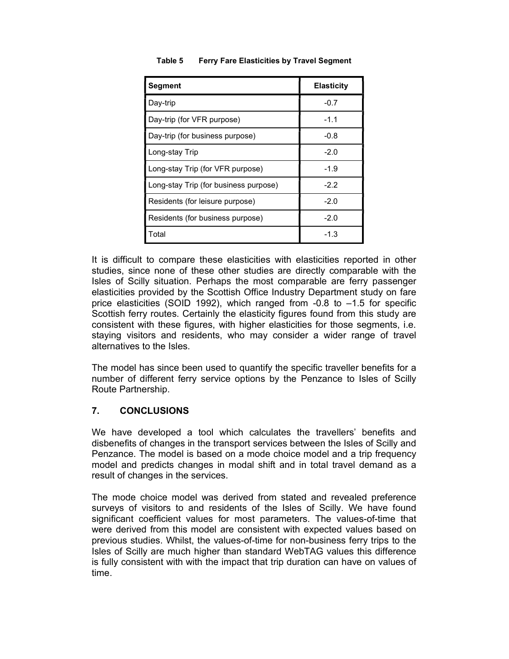| <b>Segment</b>                        | <b>Elasticity</b> |
|---------------------------------------|-------------------|
| Day-trip                              | $-0.7$            |
| Day-trip (for VFR purpose)            | -1.1              |
| Day-trip (for business purpose)       | -0.8              |
| Long-stay Trip                        | $-2.0$            |
| Long-stay Trip (for VFR purpose)      | -1.9              |
| Long-stay Trip (for business purpose) | $-2.2$            |
| Residents (for leisure purpose)       | $-2.0$            |
| Residents (for business purpose)      | $-2.0$            |
| Total                                 | -1.3              |

#### Table 5 Ferry Fare Elasticities by Travel Segment

It is difficult to compare these elasticities with elasticities reported in other studies, since none of these other studies are directly comparable with the Isles of Scilly situation. Perhaps the most comparable are ferry passenger elasticities provided by the Scottish Office Industry Department study on fare price elasticities (SOID 1992), which ranged from -0.8 to –1.5 for specific Scottish ferry routes. Certainly the elasticity figures found from this study are consistent with these figures, with higher elasticities for those segments, i.e. staying visitors and residents, who may consider a wider range of travel alternatives to the Isles.

The model has since been used to quantify the specific traveller benefits for a number of different ferry service options by the Penzance to Isles of Scilly Route Partnership.

### 7. CONCLUSIONS

We have developed a tool which calculates the travellers' benefits and disbenefits of changes in the transport services between the Isles of Scilly and Penzance. The model is based on a mode choice model and a trip frequency model and predicts changes in modal shift and in total travel demand as a result of changes in the services.

The mode choice model was derived from stated and revealed preference surveys of visitors to and residents of the Isles of Scilly. We have found significant coefficient values for most parameters. The values-of-time that were derived from this model are consistent with expected values based on previous studies. Whilst, the values-of-time for non-business ferry trips to the Isles of Scilly are much higher than standard WebTAG values this difference is fully consistent with with the impact that trip duration can have on values of time.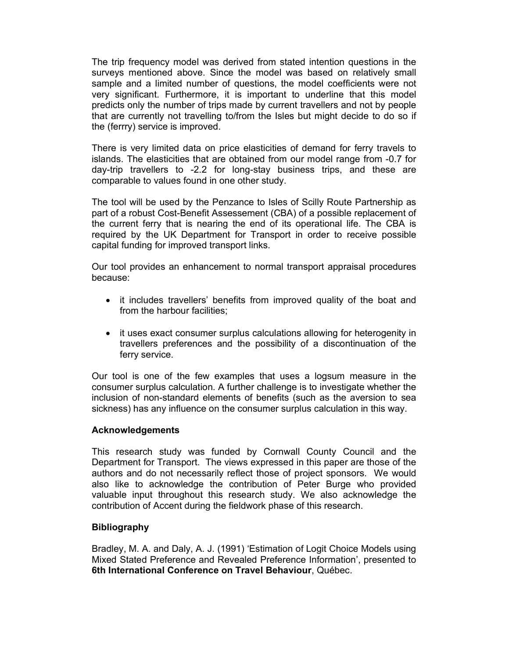The trip frequency model was derived from stated intention questions in the surveys mentioned above. Since the model was based on relatively small sample and a limited number of questions, the model coefficients were not very significant. Furthermore, it is important to underline that this model predicts only the number of trips made by current travellers and not by people that are currently not travelling to/from the Isles but might decide to do so if the (ferrry) service is improved.

There is very limited data on price elasticities of demand for ferry travels to islands. The elasticities that are obtained from our model range from -0.7 for day-trip travellers to -2.2 for long-stay business trips, and these are comparable to values found in one other study.

The tool will be used by the Penzance to Isles of Scilly Route Partnership as part of a robust Cost-Benefit Assessement (CBA) of a possible replacement of the current ferry that is nearing the end of its operational life. The CBA is required by the UK Department for Transport in order to receive possible capital funding for improved transport links.

Our tool provides an enhancement to normal transport appraisal procedures because:

- it includes travellers' benefits from improved quality of the boat and from the harbour facilities;
- it uses exact consumer surplus calculations allowing for heterogenity in travellers preferences and the possibility of a discontinuation of the ferry service.

Our tool is one of the few examples that uses a logsum measure in the consumer surplus calculation. A further challenge is to investigate whether the inclusion of non-standard elements of benefits (such as the aversion to sea sickness) has any influence on the consumer surplus calculation in this way.

#### Acknowledgements

This research study was funded by Cornwall County Council and the Department for Transport. The views expressed in this paper are those of the authors and do not necessarily reflect those of project sponsors. We would also like to acknowledge the contribution of Peter Burge who provided valuable input throughout this research study. We also acknowledge the contribution of Accent during the fieldwork phase of this research.

### **Bibliography**

Bradley, M. A. and Daly, A. J. (1991) 'Estimation of Logit Choice Models using Mixed Stated Preference and Revealed Preference Information', presented to 6th International Conference on Travel Behaviour, Québec.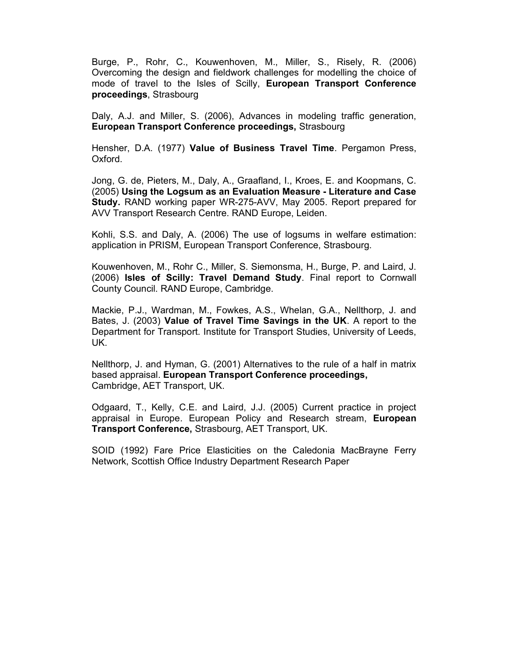Burge, P., Rohr, C., Kouwenhoven, M., Miller, S., Risely, R. (2006) Overcoming the design and fieldwork challenges for modelling the choice of mode of travel to the Isles of Scilly, European Transport Conference proceedings, Strasbourg

Daly, A.J. and Miller, S. (2006), Advances in modeling traffic generation, European Transport Conference proceedings, Strasbourg

Hensher, D.A. (1977) Value of Business Travel Time. Pergamon Press, Oxford.

Jong, G. de, Pieters, M., Daly, A., Graafland, I., Kroes, E. and Koopmans, C. (2005) Using the Logsum as an Evaluation Measure - Literature and Case Study. RAND working paper WR-275-AVV, May 2005. Report prepared for AVV Transport Research Centre. RAND Europe, Leiden.

Kohli, S.S. and Daly, A. (2006) The use of logsums in welfare estimation: application in PRISM, European Transport Conference, Strasbourg.

Kouwenhoven, M., Rohr C., Miller, S. Siemonsma, H., Burge, P. and Laird, J. (2006) Isles of Scilly: Travel Demand Study. Final report to Cornwall County Council. RAND Europe, Cambridge.

Mackie, P.J., Wardman, M., Fowkes, A.S., Whelan, G.A., Nellthorp, J. and Bates, J. (2003) Value of Travel Time Savings in the UK. A report to the Department for Transport. Institute for Transport Studies, University of Leeds, UK.

Nellthorp, J. and Hyman, G. (2001) Alternatives to the rule of a half in matrix based appraisal. European Transport Conference proceedings, Cambridge, AET Transport, UK.

Odgaard, T., Kelly, C.E. and Laird, J.J. (2005) Current practice in project appraisal in Europe. European Policy and Research stream, European Transport Conference, Strasbourg, AET Transport, UK.

SOID (1992) Fare Price Elasticities on the Caledonia MacBrayne Ferry Network, Scottish Office Industry Department Research Paper